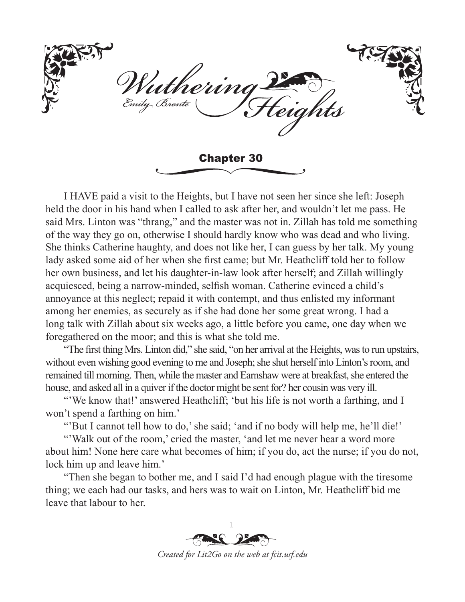thering rily Bronte Chapter 30

I HAVE paid a visit to the Heights, but I have not seen her since she left: Joseph held the door in his hand when I called to ask after her, and wouldn't let me pass. He said Mrs. Linton was "thrang," and the master was not in. Zillah has told me something of the way they go on, otherwise I should hardly know who was dead and who living. She thinks Catherine haughty, and does not like her, I can guess by her talk. My young lady asked some aid of her when she first came; but Mr. Heathcliff told her to follow her own business, and let his daughter-in-law look after herself; and Zillah willingly acquiesced, being a narrow-minded, selfish woman. Catherine evinced a child's annoyance at this neglect; repaid it with contempt, and thus enlisted my informant among her enemies, as securely as if she had done her some great wrong. I had a long talk with Zillah about six weeks ago, a little before you came, one day when we foregathered on the moor; and this is what she told me.

"The first thing Mrs. Linton did," she said, "on her arrival at the Heights, was to run upstairs, without even wishing good evening to me and Joseph; she shut herself into Linton's room, and remained till morning. Then, while the master and Earnshaw were at breakfast, she entered the house, and asked all in a quiver if the doctor might be sent for? her cousin was very ill.

"'We know that!' answered Heathcliff; 'but his life is not worth a farthing, and I won't spend a farthing on him.'

"But I cannot tell how to do,' she said; 'and if no body will help me, he'll die!'

"'Walk out of the room,' cried the master, 'and let me never hear a word more about him! None here care what becomes of him; if you do, act the nurse; if you do not, lock him up and leave him.'

"Then she began to bother me, and I said I'd had enough plague with the tiresome thing; we each had our tasks, and hers was to wait on Linton, Mr. Heathcliff bid me leave that labour to her.

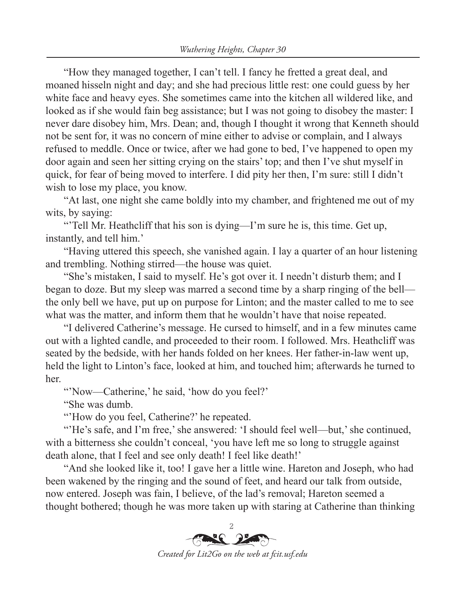"How they managed together, I can't tell. I fancy he fretted a great deal, and moaned hisseln night and day; and she had precious little rest: one could guess by her white face and heavy eyes. She sometimes came into the kitchen all wildered like, and looked as if she would fain beg assistance; but I was not going to disobey the master: I never dare disobey him, Mrs. Dean; and, though I thought it wrong that Kenneth should not be sent for, it was no concern of mine either to advise or complain, and I always refused to meddle. Once or twice, after we had gone to bed, I've happened to open my door again and seen her sitting crying on the stairs' top; and then I've shut myself in quick, for fear of being moved to interfere. I did pity her then, I'm sure: still I didn't wish to lose my place, you know.

"At last, one night she came boldly into my chamber, and frightened me out of my wits, by saying:

"Tell Mr. Heathcliff that his son is dying—I'm sure he is, this time. Get up, instantly, and tell him.'

"Having uttered this speech, she vanished again. I lay a quarter of an hour listening and trembling. Nothing stirred—the house was quiet.

"She's mistaken, I said to myself. He's got over it. I needn't disturb them; and I began to doze. But my sleep was marred a second time by a sharp ringing of the bell the only bell we have, put up on purpose for Linton; and the master called to me to see what was the matter, and inform them that he wouldn't have that noise repeated.

"I delivered Catherine's message. He cursed to himself, and in a few minutes came out with a lighted candle, and proceeded to their room. I followed. Mrs. Heathcliff was seated by the bedside, with her hands folded on her knees. Her father-in-law went up, held the light to Linton's face, looked at him, and touched him; afterwards he turned to her.

"Now—Catherine,' he said, 'how do you feel?'

"She was dumb.

"How do you feel, Catherine?' he repeated.

"'He's safe, and I'm free,' she answered: 'I should feel well—but,' she continued, with a bitterness she couldn't conceal, 'you have left me so long to struggle against death alone, that I feel and see only death! I feel like death!'

"And she looked like it, too! I gave her a little wine. Hareton and Joseph, who had been wakened by the ringing and the sound of feet, and heard our talk from outside, now entered. Joseph was fain, I believe, of the lad's removal; Hareton seemed a thought bothered; though he was more taken up with staring at Catherine than thinking



*Created for Lit2Go on the web at fcit.usf.edu*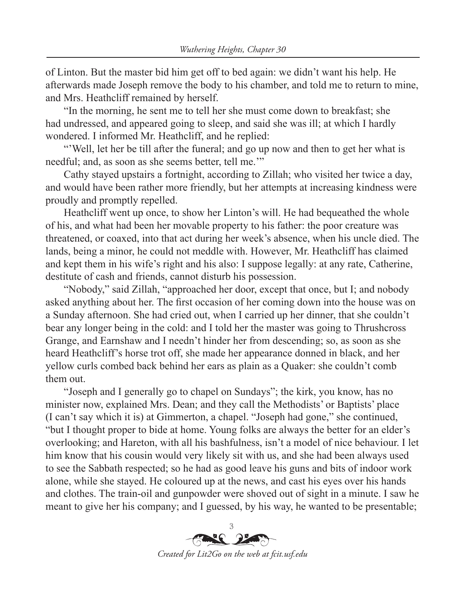of Linton. But the master bid him get off to bed again: we didn't want his help. He afterwards made Joseph remove the body to his chamber, and told me to return to mine, and Mrs. Heathcliff remained by herself.

"In the morning, he sent me to tell her she must come down to breakfast; she had undressed, and appeared going to sleep, and said she was ill; at which I hardly wondered. I informed Mr. Heathcliff, and he replied:

"'Well, let her be till after the funeral; and go up now and then to get her what is needful; and, as soon as she seems better, tell me.'"

Cathy stayed upstairs a fortnight, according to Zillah; who visited her twice a day, and would have been rather more friendly, but her attempts at increasing kindness were proudly and promptly repelled.

Heathcliff went up once, to show her Linton's will. He had bequeathed the whole of his, and what had been her movable property to his father: the poor creature was threatened, or coaxed, into that act during her week's absence, when his uncle died. The lands, being a minor, he could not meddle with. However, Mr. Heathcliff has claimed and kept them in his wife's right and his also: I suppose legally: at any rate, Catherine, destitute of cash and friends, cannot disturb his possession.

"Nobody," said Zillah, "approached her door, except that once, but I; and nobody asked anything about her. The first occasion of her coming down into the house was on a Sunday afternoon. She had cried out, when I carried up her dinner, that she couldn't bear any longer being in the cold: and I told her the master was going to Thrushcross Grange, and Earnshaw and I needn't hinder her from descending; so, as soon as she heard Heathcliff's horse trot off, she made her appearance donned in black, and her yellow curls combed back behind her ears as plain as a Quaker: she couldn't comb them out.

"Joseph and I generally go to chapel on Sundays"; the kirk, you know, has no minister now, explained Mrs. Dean; and they call the Methodists' or Baptists' place (I can't say which it is) at Gimmerton, a chapel. "Joseph had gone," she continued, "but I thought proper to bide at home. Young folks are always the better for an elder's overlooking; and Hareton, with all his bashfulness, isn't a model of nice behaviour. I let him know that his cousin would very likely sit with us, and she had been always used to see the Sabbath respected; so he had as good leave his guns and bits of indoor work alone, while she stayed. He coloured up at the news, and cast his eyes over his hands and clothes. The train-oil and gunpowder were shoved out of sight in a minute. I saw he meant to give her his company; and I guessed, by his way, he wanted to be presentable;

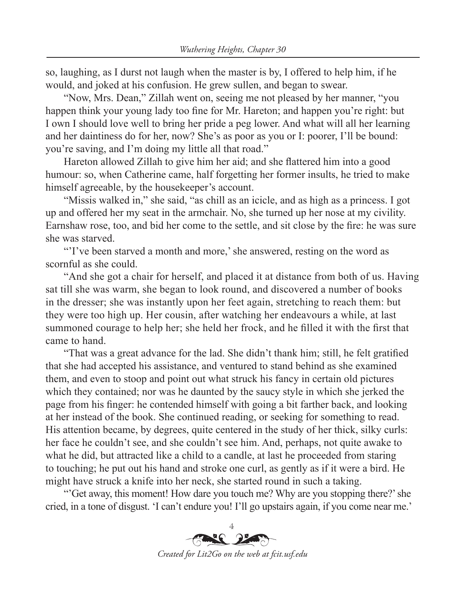so, laughing, as I durst not laugh when the master is by, I offered to help him, if he would, and joked at his confusion. He grew sullen, and began to swear.

"Now, Mrs. Dean," Zillah went on, seeing me not pleased by her manner, "you happen think your young lady too fine for Mr. Hareton; and happen you're right: but I own I should love well to bring her pride a peg lower. And what will all her learning and her daintiness do for her, now? She's as poor as you or I: poorer, I'll be bound: you're saving, and I'm doing my little all that road."

Hareton allowed Zillah to give him her aid; and she flattered him into a good humour: so, when Catherine came, half forgetting her former insults, he tried to make himself agreeable, by the housekeeper's account.

"Missis walked in," she said, "as chill as an icicle, and as high as a princess. I got up and offered her my seat in the armchair. No, she turned up her nose at my civility. Earnshaw rose, too, and bid her come to the settle, and sit close by the fire: he was sure she was starved.

"I've been starved a month and more,' she answered, resting on the word as scornful as she could.

"And she got a chair for herself, and placed it at distance from both of us. Having sat till she was warm, she began to look round, and discovered a number of books in the dresser; she was instantly upon her feet again, stretching to reach them: but they were too high up. Her cousin, after watching her endeavours a while, at last summoned courage to help her; she held her frock, and he filled it with the first that came to hand.

"That was a great advance for the lad. She didn't thank him; still, he felt gratified that she had accepted his assistance, and ventured to stand behind as she examined them, and even to stoop and point out what struck his fancy in certain old pictures which they contained; nor was he daunted by the saucy style in which she jerked the page from his finger: he contended himself with going a bit farther back, and looking at her instead of the book. She continued reading, or seeking for something to read. His attention became, by degrees, quite centered in the study of her thick, silky curls: her face he couldn't see, and she couldn't see him. And, perhaps, not quite awake to what he did, but attracted like a child to a candle, at last he proceeded from staring to touching; he put out his hand and stroke one curl, as gently as if it were a bird. He might have struck a knife into her neck, she started round in such a taking.

"'Get away, this moment! How dare you touch me? Why are you stopping there?' she cried, in a tone of disgust. 'I can't endure you! I'll go upstairs again, if you come near me.'

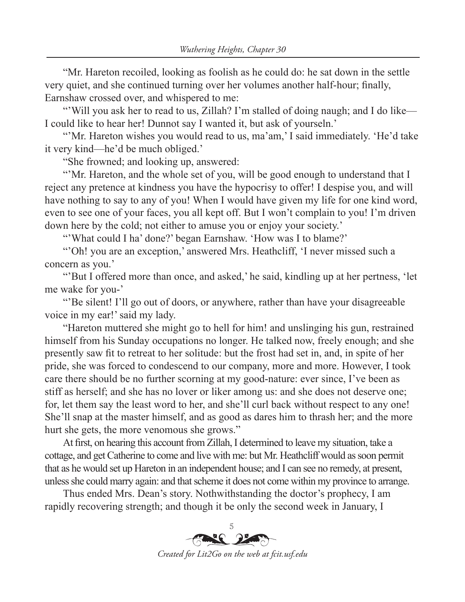"Mr. Hareton recoiled, looking as foolish as he could do: he sat down in the settle very quiet, and she continued turning over her volumes another half-hour; finally, Earnshaw crossed over, and whispered to me:

"Will you ask her to read to us, Zillah? I'm stalled of doing naugh; and I do like— I could like to hear her! Dunnot say I wanted it, but ask of yourseln.'

"'Mr. Hareton wishes you would read to us, ma'am,' I said immediately. 'He'd take it very kind—he'd be much obliged.'

"She frowned; and looking up, answered:

"'Mr. Hareton, and the whole set of you, will be good enough to understand that I reject any pretence at kindness you have the hypocrisy to offer! I despise you, and will have nothing to say to any of you! When I would have given my life for one kind word, even to see one of your faces, you all kept off. But I won't complain to you! I'm driven down here by the cold; not either to amuse you or enjoy your society.'

"What could I ha' done?' began Earnshaw. 'How was I to blame?'

"'Oh! you are an exception,' answered Mrs. Heathcliff, 'I never missed such a concern as you.'

"'But I offered more than once, and asked,' he said, kindling up at her pertness, 'let me wake for you-'

"'Be silent! I'll go out of doors, or anywhere, rather than have your disagreeable voice in my ear!' said my lady.

"Hareton muttered she might go to hell for him! and unslinging his gun, restrained himself from his Sunday occupations no longer. He talked now, freely enough; and she presently saw fit to retreat to her solitude: but the frost had set in, and, in spite of her pride, she was forced to condescend to our company, more and more. However, I took care there should be no further scorning at my good-nature: ever since, I've been as stiff as herself; and she has no lover or liker among us: and she does not deserve one; for, let them say the least word to her, and she'll curl back without respect to any one! She'll snap at the master himself, and as good as dares him to thrash her; and the more hurt she gets, the more venomous she grows."

At first, on hearing this account from Zillah, I determined to leave my situation, take a cottage, and get Catherine to come and live with me: but Mr. Heathcliff would as soon permit that as he would set up Hareton in an independent house; and I can see no remedy, at present, unless she could marry again: and that scheme it does not come within my province to arrange.

Thus ended Mrs. Dean's story. Nothwithstanding the doctor's prophecy, I am rapidly recovering strength; and though it be only the second week in January, I